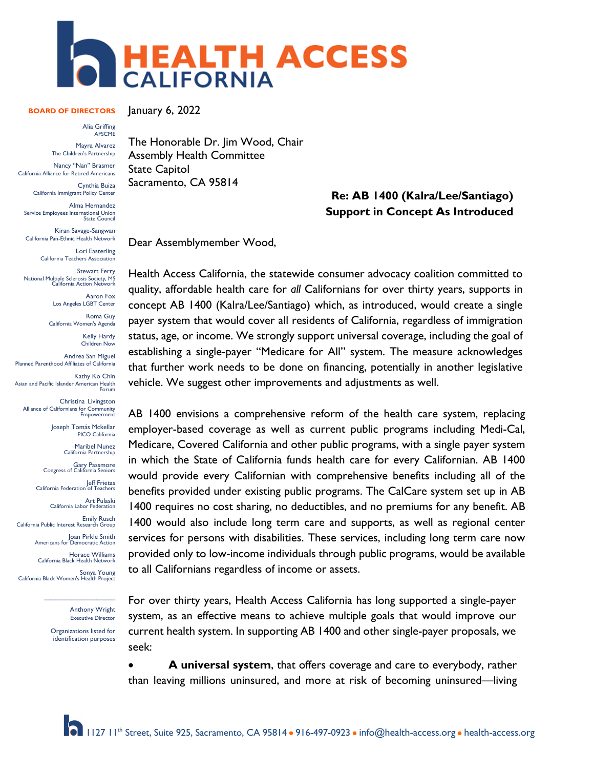

## **BOARD OF DIRECTORS**

Alia Griffing AFSCME

Mayra Alvarez The Children's Partnership

Nancy "Nan" Brasmer California Alliance for Retired Americans

Cynthia Buiza California Immigrant Policy Center Alma Hernandez

Service Employees International Union State Council

Kiran Savage-Sangwan California Pan-Ethnic Health Network

> Lori Easterling California Teachers Association

Stewart Ferry National Multiple Sclerosis Society, MS California Action Network

> Aaron Fox Los Angeles LGBT Center

> Roma Guy California Women's Agenda

> > Kelly Hardy Children Now

Andrea San Miguel Planned Parenthood Affiliates of California

Kathy Ko Chin Asian and Pacific Islander American Health<br>Forum

Christina Livingston Alliance of Californians for Community Empowerment

> Joseph Tomás Mckellar PICO California

> > Maribel Nunez California Partnership

Gary Passmore Congress of California Seniors

Jeff Frietas California Federation of Teachers

Art Pulaski California Labor Federation

Emily Rusch California Public Interest Research Group

Joan Pirkle Smith<br>Americans for Democratic Action

Horace Williams California Black Health Network

Sonya Young California Black Women's Health Project

Anthony Wright Executive Director

Organizations listed for identification purposes

 $\mathcal{L}$  , we have the set of the set of the set of the set of the set of the set of the set of the set of the set of the set of the set of the set of the set of the set of the set of the set of the set of the set of the

January 6, 2022

The Honorable Dr. Jim Wood, Chair Assembly Health Committee State Capitol Sacramento, CA 95814

## **Re: AB 1400 (Kalra/Lee/Santiago) Support in Concept As Introduced**

Dear Assemblymember Wood,

Health Access California, the statewide consumer advocacy coalition committed to quality, affordable health care for *all* Californians for over thirty years, supports in concept AB 1400 (Kalra/Lee/Santiago) which, as introduced, would create a single payer system that would cover all residents of California, regardless of immigration status, age, or income. We strongly support universal coverage, including the goal of establishing a single-payer "Medicare for All" system. The measure acknowledges that further work needs to be done on financing, potentially in another legislative vehicle. We suggest other improvements and adjustments as well.

AB 1400 envisions a comprehensive reform of the health care system, replacing employer-based coverage as well as current public programs including Medi-Cal, Medicare, Covered California and other public programs, with a single payer system in which the State of California funds health care for every Californian. AB 1400 would provide every Californian with comprehensive benefits including all of the benefits provided under existing public programs. The CalCare system set up in AB 1400 requires no cost sharing, no deductibles, and no premiums for any benefit. AB 1400 would also include long term care and supports, as well as regional center services for persons with disabilities. These services, including long term care now provided only to low-income individuals through public programs, would be available to all Californians regardless of income or assets.

For over thirty years, Health Access California has long supported a single-payer system, as an effective means to achieve multiple goals that would improve our current health system. In supporting AB 1400 and other single-payer proposals, we seek:

• **A universal system**, that offers coverage and care to everybody, rather than leaving millions uninsured, and more at risk of becoming uninsured—living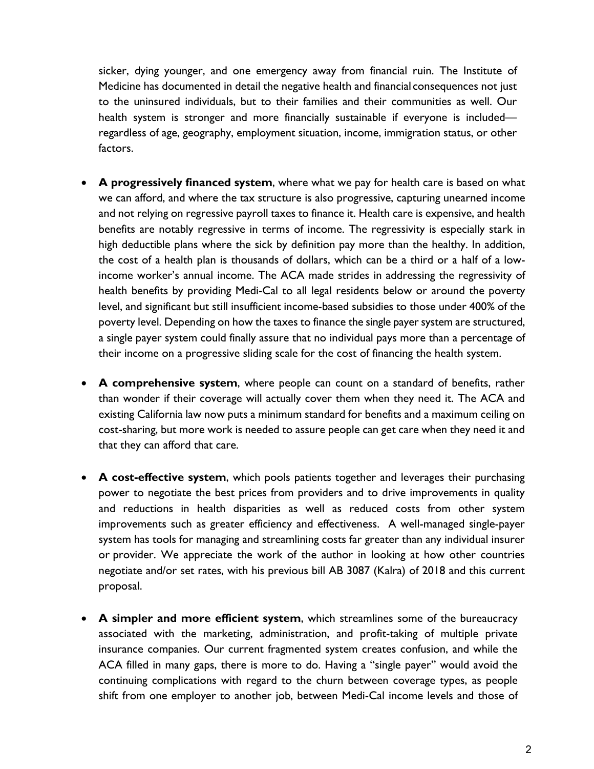sicker, dying younger, and one emergency away from financial ruin. The Institute of Medicine has documented in detail the negative health and financial consequences not just to the uninsured individuals, but to their families and their communities as well. Our health system is stronger and more financially sustainable if everyone is included regardless of age, geography, employment situation, income, immigration status, or other factors.

- **A progressively financed system**, where what we pay for health care is based on what we can afford, and where the tax structure is also progressive, capturing unearned income and not relying on regressive payroll taxes to finance it. Health care is expensive, and health benefits are notably regressive in terms of income. The regressivity is especially stark in high deductible plans where the sick by definition pay more than the healthy. In addition, the cost of a health plan is thousands of dollars, which can be a third or a half of a lowincome worker's annual income. The ACA made strides in addressing the regressivity of health benefits by providing Medi-Cal to all legal residents below or around the poverty level, and significant but still insufficient income-based subsidies to those under 400% of the poverty level. Depending on how the taxes to finance the single payer system are structured, a single payer system could finally assure that no individual pays more than a percentage of their income on a progressive sliding scale for the cost of financing the health system.
- **A comprehensive system**, where people can count on a standard of benefits, rather than wonder if their coverage will actually cover them when they need it. The ACA and existing California law now puts a minimum standard for benefits and a maximum ceiling on cost-sharing, but more work is needed to assure people can get care when they need it and that they can afford that care.
- **A cost-effective system**, which pools patients together and leverages their purchasing power to negotiate the best prices from providers and to drive improvements in quality and reductions in health disparities as well as reduced costs from other system improvements such as greater efficiency and effectiveness. A well-managed single-payer system has tools for managing and streamlining costs far greater than any individual insurer or provider. We appreciate the work of the author in looking at how other countries negotiate and/or set rates, with his previous bill AB 3087 (Kalra) of 2018 and this current proposal.
- **A simpler and more efficient system**, which streamlines some of the bureaucracy associated with the marketing, administration, and profit-taking of multiple private insurance companies. Our current fragmented system creates confusion, and while the ACA filled in many gaps, there is more to do. Having a "single payer" would avoid the continuing complications with regard to the churn between coverage types, as people shift from one employer to another job, between Medi-Cal income levels and those of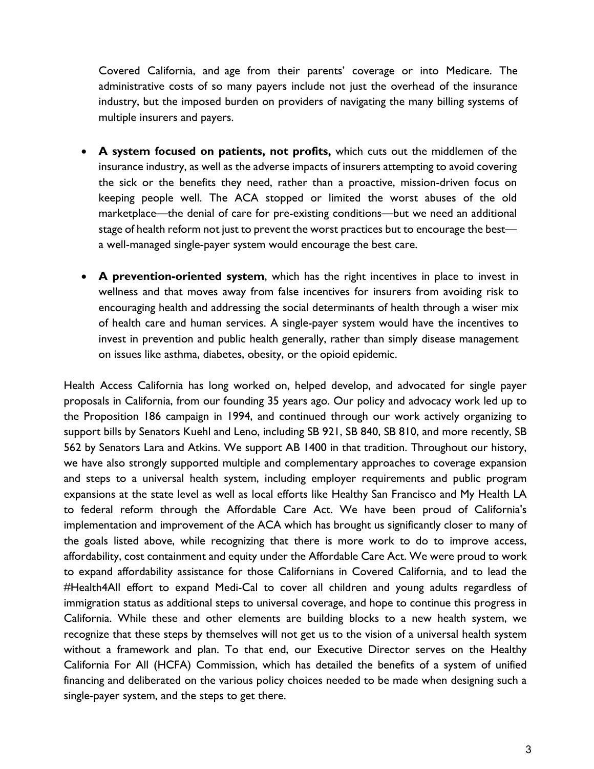Covered California, and age from their parents' coverage or into Medicare. The administrative costs of so many payers include not just the overhead of the insurance industry, but the imposed burden on providers of navigating the many billing systems of multiple insurers and payers.

- **A system focused on patients, not profits,** which cuts out the middlemen of the insurance industry, as well as the adverse impacts of insurers attempting to avoid covering the sick or the benefits they need, rather than a proactive, mission-driven focus on keeping people well. The ACA stopped or limited the worst abuses of the old marketplace—the denial of care for pre-existing conditions—but we need an additional stage of health reform not just to prevent the worst practices but to encourage the best a well-managed single-payer system would encourage the best care.
- **A prevention-oriented system**, which has the right incentives in place to invest in wellness and that moves away from false incentives for insurers from avoiding risk to encouraging health and addressing the social determinants of health through a wiser mix of health care and human services. A single-payer system would have the incentives to invest in prevention and public health generally, rather than simply disease management on issues like asthma, diabetes, obesity, or the opioid epidemic.

Health Access California has long worked on, helped develop, and advocated for single payer proposals in California, from our founding 35 years ago. Our policy and advocacy work led up to the Proposition 186 campaign in 1994, and continued through our work actively organizing to support bills by Senators Kuehl and Leno, including SB 921, SB 840, SB 810, and more recently, SB 562 by Senators Lara and Atkins. We support AB 1400 in that tradition. Throughout our history, we have also strongly supported multiple and complementary approaches to coverage expansion and steps to a universal health system, including employer requirements and public program expansions at the state level as well as local efforts like Healthy San Francisco and My Health LA to federal reform through the Affordable Care Act. We have been proud of California's implementation and improvement of the ACA which has brought us significantly closer to many of the goals listed above, while recognizing that there is more work to do to improve access, affordability, cost containment and equity under the Affordable Care Act. We were proud to work to expand affordability assistance for those Californians in Covered California, and to lead the #Health4All effort to expand Medi-Cal to cover all children and young adults regardless of immigration status as additional steps to universal coverage, and hope to continue this progress in California. While these and other elements are building blocks to a new health system, we recognize that these steps by themselves will not get us to the vision of a universal health system without a framework and plan. To that end, our Executive Director serves on the Healthy California For All (HCFA) Commission, which has detailed the benefits of a system of unified financing and deliberated on the various policy choices needed to be made when designing such a single-payer system, and the steps to get there.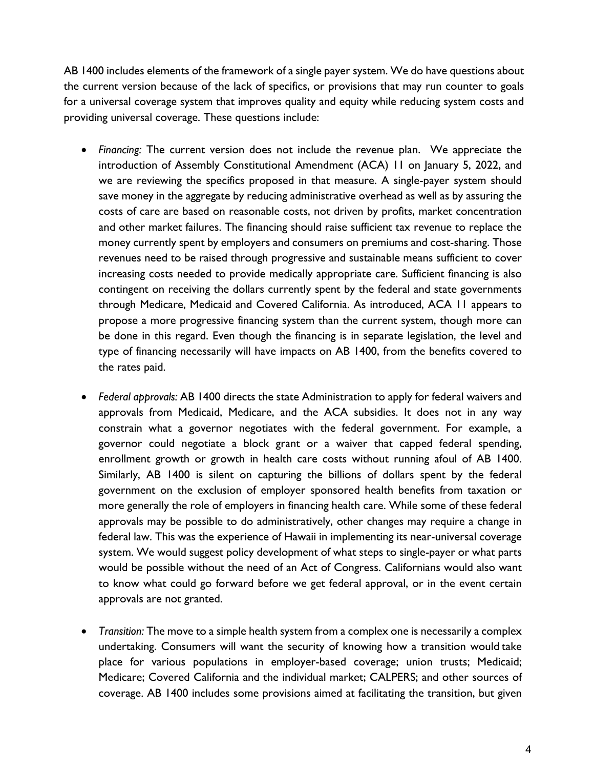AB 1400 includes elements of the framework of a single payer system. We do have questions about the current version because of the lack of specifics, or provisions that may run counter to goals for a universal coverage system that improves quality and equity while reducing system costs and providing universal coverage. These questions include:

- *Financing:* The current version does not include the revenue plan. We appreciate the introduction of Assembly Constitutional Amendment (ACA) 11 on January 5, 2022, and we are reviewing the specifics proposed in that measure. A single-payer system should save money in the aggregate by reducing administrative overhead as well as by assuring the costs of care are based on reasonable costs, not driven by profits, market concentration and other market failures. The financing should raise sufficient tax revenue to replace the money currently spent by employers and consumers on premiums and cost-sharing. Those revenues need to be raised through progressive and sustainable means sufficient to cover increasing costs needed to provide medically appropriate care. Sufficient financing is also contingent on receiving the dollars currently spent by the federal and state governments through Medicare, Medicaid and Covered California. As introduced, ACA 11 appears to propose a more progressive financing system than the current system, though more can be done in this regard. Even though the financing is in separate legislation, the level and type of financing necessarily will have impacts on AB 1400, from the benefits covered to the rates paid.
- *Federal approvals:* AB 1400 directs the state Administration to apply for federal waivers and approvals from Medicaid, Medicare, and the ACA subsidies. It does not in any way constrain what a governor negotiates with the federal government. For example, a governor could negotiate a block grant or a waiver that capped federal spending, enrollment growth or growth in health care costs without running afoul of AB 1400. Similarly, AB 1400 is silent on capturing the billions of dollars spent by the federal government on the exclusion of employer sponsored health benefits from taxation or more generally the role of employers in financing health care. While some of these federal approvals may be possible to do administratively, other changes may require a change in federal law. This was the experience of Hawaii in implementing its near-universal coverage system. We would suggest policy development of what steps to single-payer or what parts would be possible without the need of an Act of Congress. Californians would also want to know what could go forward before we get federal approval, or in the event certain approvals are not granted.
- *Transition:* The move to a simple health system from a complex one is necessarily a complex undertaking. Consumers will want the security of knowing how a transition would take place for various populations in employer-based coverage; union trusts; Medicaid; Medicare; Covered California and the individual market; CALPERS; and other sources of coverage. AB 1400 includes some provisions aimed at facilitating the transition, but given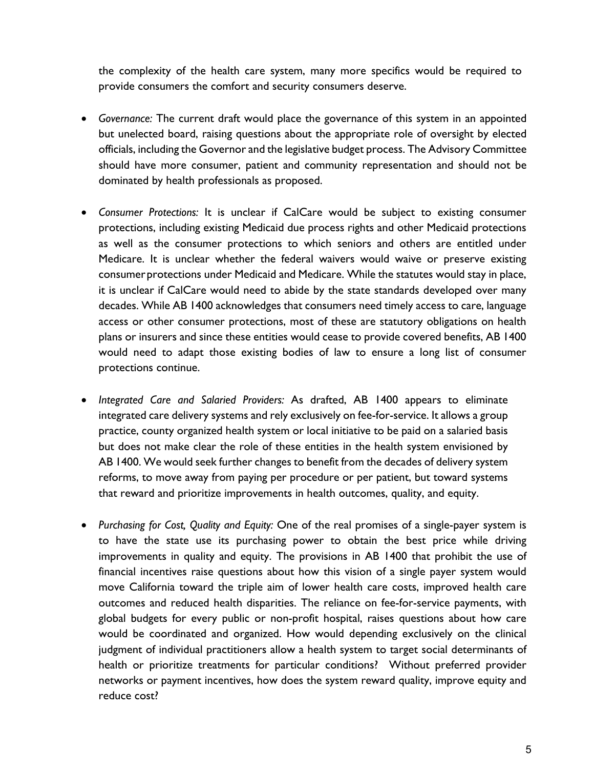the complexity of the health care system, many more specifics would be required to provide consumers the comfort and security consumers deserve.

- *Governance:* The current draft would place the governance of this system in an appointed but unelected board, raising questions about the appropriate role of oversight by elected officials, including the Governor and the legislative budget process. The Advisory Committee should have more consumer, patient and community representation and should not be dominated by health professionals as proposed.
- *Consumer Protections:* It is unclear if CalCare would be subject to existing consumer protections, including existing Medicaid due process rights and other Medicaid protections as well as the consumer protections to which seniors and others are entitled under Medicare. It is unclear whether the federal waivers would waive or preserve existing consumer protections under Medicaid and Medicare. While the statutes would stay in place, it is unclear if CalCare would need to abide by the state standards developed over many decades. While AB 1400 acknowledges that consumers need timely access to care, language access or other consumer protections, most of these are statutory obligations on health plans or insurers and since these entities would cease to provide covered benefits, AB 1400 would need to adapt those existing bodies of law to ensure a long list of consumer protections continue.
- *Integrated Care and Salaried Providers:* As drafted, AB 1400 appears to eliminate integrated care delivery systems and rely exclusively on fee-for-service. It allows a group practice, county organized health system or local initiative to be paid on a salaried basis but does not make clear the role of these entities in the health system envisioned by AB 1400. We would seek further changes to benefit from the decades of delivery system reforms, to move away from paying per procedure or per patient, but toward systems that reward and prioritize improvements in health outcomes, quality, and equity.
- *Purchasing for Cost, Quality and Equity:* One of the real promises of a single-payer system is to have the state use its purchasing power to obtain the best price while driving improvements in quality and equity. The provisions in AB 1400 that prohibit the use of financial incentives raise questions about how this vision of a single payer system would move California toward the triple aim of lower health care costs, improved health care outcomes and reduced health disparities. The reliance on fee-for-service payments, with global budgets for every public or non-profit hospital, raises questions about how care would be coordinated and organized. How would depending exclusively on the clinical judgment of individual practitioners allow a health system to target social determinants of health or prioritize treatments for particular conditions? Without preferred provider networks or payment incentives, how does the system reward quality, improve equity and reduce cost?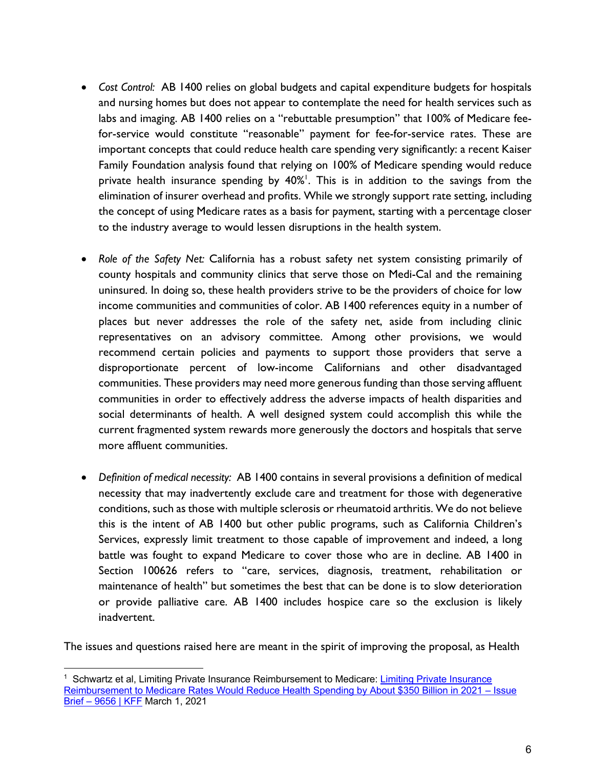- *Cost Control:* AB 1400 relies on global budgets and capital expenditure budgets for hospitals and nursing homes but does not appear to contemplate the need for health services such as labs and imaging. AB 1400 relies on a "rebuttable presumption" that 100% of Medicare feefor-service would constitute "reasonable" payment for fee-for-service rates. These are important concepts that could reduce health care spending very significantly: a recent Kaiser Family Foundation analysis found that relying on 100% of Medicare spending would reduce private health insurance spending by 40%<sup>1</sup>. This is in addition to the savings from the elimination of insurer overhead and profits. While we strongly support rate setting, including the concept of using Medicare rates as a basis for payment, starting with a percentage closer to the industry average to would lessen disruptions in the health system.
- *Role of the Safety Net:* California has a robust safety net system consisting primarily of county hospitals and community clinics that serve those on Medi-Cal and the remaining uninsured. In doing so, these health providers strive to be the providers of choice for low income communities and communities of color. AB 1400 references equity in a number of places but never addresses the role of the safety net, aside from including clinic representatives on an advisory committee. Among other provisions, we would recommend certain policies and payments to support those providers that serve a disproportionate percent of low-income Californians and other disadvantaged communities. These providers may need more generous funding than those serving affluent communities in order to effectively address the adverse impacts of health disparities and social determinants of health. A well designed system could accomplish this while the current fragmented system rewards more generously the doctors and hospitals that serve more affluent communities.
- *Definition of medical necessity:* AB 1400 contains in several provisions a definition of medical necessity that may inadvertently exclude care and treatment for those with degenerative conditions, such as those with multiple sclerosis or rheumatoid arthritis. We do not believe this is the intent of AB 1400 but other public programs, such as California Children's Services, expressly limit treatment to those capable of improvement and indeed, a long battle was fought to expand Medicare to cover those who are in decline. AB 1400 in Section 100626 refers to "care, services, diagnosis, treatment, rehabilitation or maintenance of health" but sometimes the best that can be done is to slow deterioration or provide palliative care. AB 1400 includes hospice care so the exclusion is likely inadvertent.

The issues and questions raised here are meant in the spirit of improving the proposal, as Health

<sup>&</sup>lt;sup>1</sup> Schwartz et al, Limiting Private Insurance Reimbursement to Medicare: Limiting Private Insurance Reimbursement to Medicare Rates Would Reduce Health Spending by About \$350 Billion in 2021 - Issue Brief – 9656 | KFF March 1, 2021